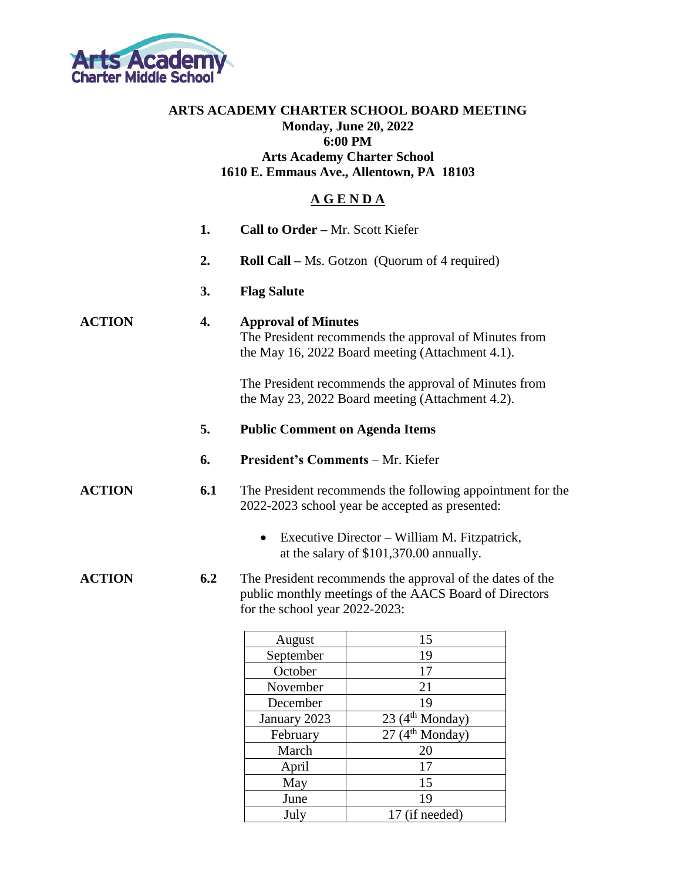

## **ARTS ACADEMY CHARTER SCHOOL BOARD MEETING Monday, June 20, 2022 6:00 PM Arts Academy Charter School 1610 E. Emmaus Ave., Allentown, PA 18103**

## **A G E N D A**

|               | 1.                                                                                                                                            | Call to Order - Mr. Scott Kiefer                                                                                                                      |                                                                                                           |  |
|---------------|-----------------------------------------------------------------------------------------------------------------------------------------------|-------------------------------------------------------------------------------------------------------------------------------------------------------|-----------------------------------------------------------------------------------------------------------|--|
|               | 2.                                                                                                                                            |                                                                                                                                                       | <b>Roll Call</b> – Ms. Gotzon (Quorum of 4 required)                                                      |  |
|               | 3.                                                                                                                                            | <b>Flag Salute</b>                                                                                                                                    |                                                                                                           |  |
| <b>ACTION</b> | 4.<br><b>Approval of Minutes</b><br>The President recommends the approval of Minutes from<br>the May 16, 2022 Board meeting (Attachment 4.1). |                                                                                                                                                       |                                                                                                           |  |
|               |                                                                                                                                               |                                                                                                                                                       | The President recommends the approval of Minutes from<br>the May 23, 2022 Board meeting (Attachment 4.2). |  |
|               | 5.                                                                                                                                            | <b>Public Comment on Agenda Items</b>                                                                                                                 |                                                                                                           |  |
|               | 6.                                                                                                                                            | President's Comments - Mr. Kiefer                                                                                                                     |                                                                                                           |  |
| <b>ACTION</b> | 6.1                                                                                                                                           | The President recommends the following appointment for the<br>2022-2023 school year be accepted as presented:                                         |                                                                                                           |  |
|               |                                                                                                                                               | $\bullet$                                                                                                                                             | Executive Director – William M. Fitzpatrick,<br>at the salary of \$101,370.00 annually.                   |  |
| <b>ACTION</b> | 6.2                                                                                                                                           | The President recommends the approval of the dates of the<br>public monthly meetings of the AACS Board of Directors<br>for the school year 2022-2023: |                                                                                                           |  |
|               |                                                                                                                                               | August                                                                                                                                                | 15                                                                                                        |  |
|               |                                                                                                                                               | September                                                                                                                                             | 19                                                                                                        |  |
|               |                                                                                                                                               | October                                                                                                                                               | 17                                                                                                        |  |
|               |                                                                                                                                               | November                                                                                                                                              | 21                                                                                                        |  |
|               |                                                                                                                                               | December                                                                                                                                              | 19                                                                                                        |  |
|               |                                                                                                                                               | January 2023                                                                                                                                          | 23(4 <sup>th</sup> Monday)                                                                                |  |
|               |                                                                                                                                               | February                                                                                                                                              | $\overline{27}$ (4 <sup>th</sup> Monday)                                                                  |  |
|               |                                                                                                                                               | March                                                                                                                                                 | 20                                                                                                        |  |

April 17<br>May 15

June 19 July 17 (if needed)

May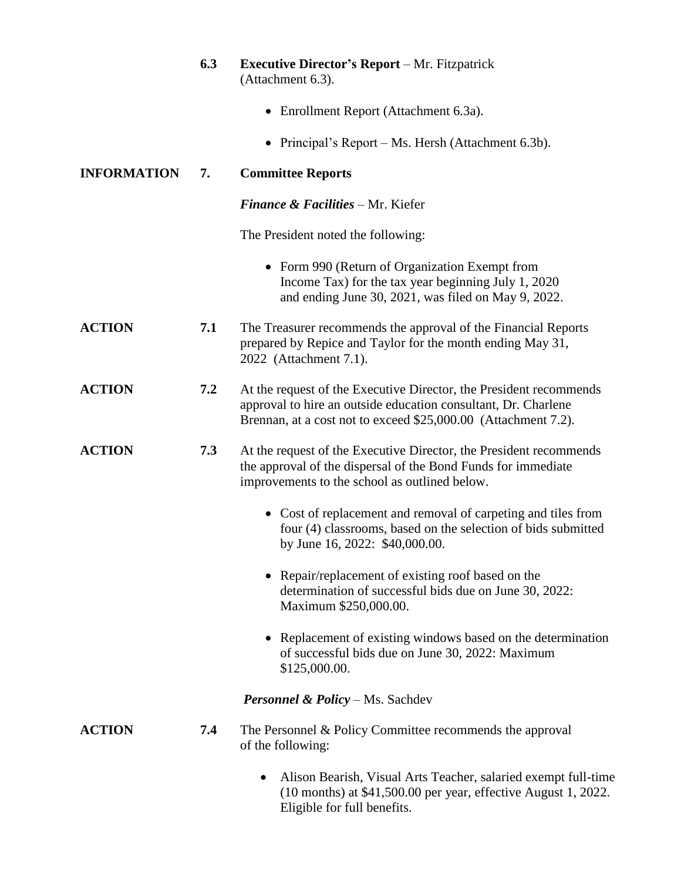|                    | 6.3 | <b>Executive Director's Report</b> – Mr. Fitzpatrick<br>(Attachment 6.3).                                                                                                                              |
|--------------------|-----|--------------------------------------------------------------------------------------------------------------------------------------------------------------------------------------------------------|
|                    |     | • Enrollment Report (Attachment 6.3a).                                                                                                                                                                 |
|                    |     | • Principal's Report – Ms. Hersh (Attachment 6.3b).                                                                                                                                                    |
| <b>INFORMATION</b> | 7.  | <b>Committee Reports</b>                                                                                                                                                                               |
|                    |     | <b>Finance &amp; Facilities - Mr. Kiefer</b>                                                                                                                                                           |
|                    |     | The President noted the following:                                                                                                                                                                     |
|                    |     | • Form 990 (Return of Organization Exempt from<br>Income Tax) for the tax year beginning July 1, 2020<br>and ending June 30, 2021, was filed on May 9, 2022.                                           |
| <b>ACTION</b>      | 7.1 | The Treasurer recommends the approval of the Financial Reports<br>prepared by Repice and Taylor for the month ending May 31,<br>2022 (Attachment 7.1).                                                 |
| <b>ACTION</b>      | 7.2 | At the request of the Executive Director, the President recommends<br>approval to hire an outside education consultant, Dr. Charlene<br>Brennan, at a cost not to exceed \$25,000.00 (Attachment 7.2). |
| <b>ACTION</b>      | 7.3 | At the request of the Executive Director, the President recommends<br>the approval of the dispersal of the Bond Funds for immediate<br>improvements to the school as outlined below.                   |
|                    |     | • Cost of replacement and removal of carpeting and tiles from<br>four (4) classrooms, based on the selection of bids submitted<br>by June 16, 2022: \$40,000.00.                                       |
|                    |     | • Repair/replacement of existing roof based on the<br>determination of successful bids due on June 30, 2022:<br>Maximum \$250,000.00.                                                                  |
|                    |     | Replacement of existing windows based on the determination<br>of successful bids due on June 30, 2022: Maximum<br>\$125,000.00.                                                                        |
|                    |     | <b>Personnel &amp; Policy</b> – Ms. Sachdev                                                                                                                                                            |
| <b>ACTION</b>      | 7.4 | The Personnel & Policy Committee recommends the approval<br>of the following:                                                                                                                          |
|                    |     | Alison Bearish, Visual Arts Teacher, salaried exempt full-time<br>$\bullet$<br>(10 months) at \$41,500.00 per year, effective August 1, 2022.<br>Eligible for full benefits.                           |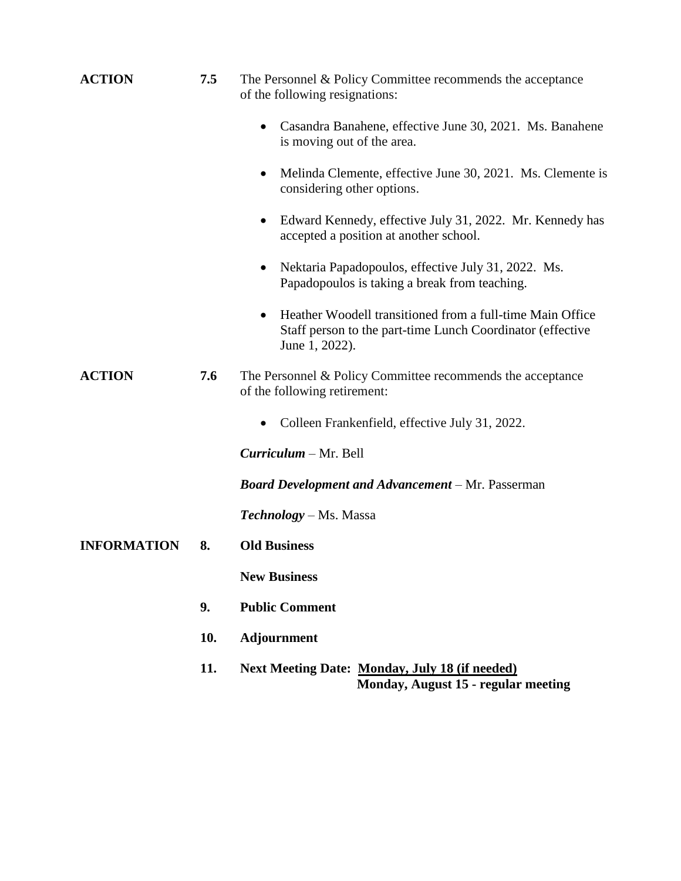| <b>ACTION</b>      | 7.5 | The Personnel & Policy Committee recommends the acceptance<br>of the following resignations:                                                           |  |
|--------------------|-----|--------------------------------------------------------------------------------------------------------------------------------------------------------|--|
|                    |     | Casandra Banahene, effective June 30, 2021. Ms. Banahene<br>$\bullet$<br>is moving out of the area.                                                    |  |
|                    |     | Melinda Clemente, effective June 30, 2021. Ms. Clemente is<br>$\bullet$<br>considering other options.                                                  |  |
|                    |     | Edward Kennedy, effective July 31, 2022. Mr. Kennedy has<br>$\bullet$<br>accepted a position at another school.                                        |  |
|                    |     | Nektaria Papadopoulos, effective July 31, 2022. Ms.<br>$\bullet$<br>Papadopoulos is taking a break from teaching.                                      |  |
|                    |     | Heather Woodell transitioned from a full-time Main Office<br>$\bullet$<br>Staff person to the part-time Lunch Coordinator (effective<br>June 1, 2022). |  |
| <b>ACTION</b>      | 7.6 | The Personnel & Policy Committee recommends the acceptance<br>of the following retirement:                                                             |  |
|                    |     | Colleen Frankenfield, effective July 31, 2022.                                                                                                         |  |
|                    |     | Curriculum – Mr. Bell                                                                                                                                  |  |
|                    |     | <b>Board Development and Advancement - Mr. Passerman</b>                                                                                               |  |
|                    |     | <b>Technology</b> – Ms. Massa                                                                                                                          |  |
| <b>INFORMATION</b> | 8.  | <b>Old Business</b>                                                                                                                                    |  |
|                    |     | <b>New Business</b>                                                                                                                                    |  |
|                    | 9.  | <b>Public Comment</b>                                                                                                                                  |  |
|                    | 10. | <b>Adjournment</b>                                                                                                                                     |  |
|                    | 11. | <b>Next Meeting Date: Monday, July 18 (if needed)</b>                                                                                                  |  |

 **Monday, August 15 - regular meeting**